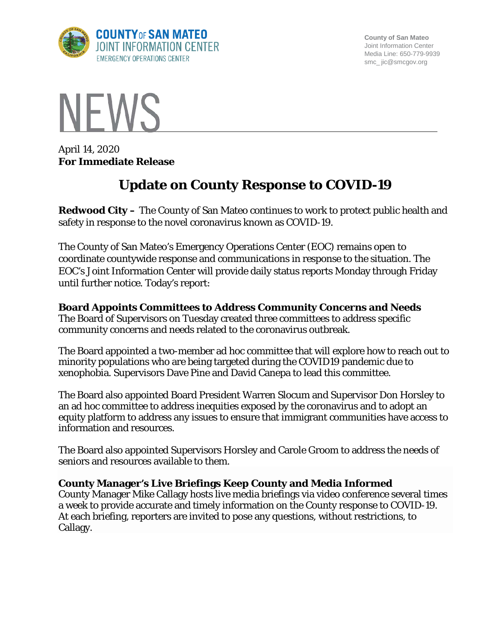

**County of San Mateo** Joint Information Center Media Line: 650-779-9939 smc\_ jic@smcgov.org



April 14, 2020 **For Immediate Release**

# **Update on County Response to COVID-19**

**Redwood City –** The County of San Mateo continues to work to protect public health and safety in response to the novel coronavirus known as COVID-19.

The County of San Mateo's Emergency Operations Center (EOC) remains open to coordinate countywide response and communications in response to the situation. The EOC's Joint Information Center will provide daily status reports Monday through Friday until further notice. Today's report:

# **Board Appoints Committees to Address Community Concerns and Needs**

The Board of Supervisors on Tuesday created three committees to address specific community concerns and needs related to the coronavirus outbreak.

The Board appointed a two-member ad hoc committee that will explore how to reach out to minority populations who are being targeted during the COVID19 pandemic due to xenophobia. Supervisors Dave Pine and David Canepa to lead this committee.

The Board also appointed Board President Warren Slocum and Supervisor Don Horsley to an ad hoc committee to address inequities exposed by the coronavirus and to adopt an equity platform to address any issues to ensure that immigrant communities have access to information and resources.

The Board also appointed Supervisors Horsley and Carole Groom to address the needs of seniors and resources available to them.

# **County Manager's Live Briefings Keep County and Media Informed**

County Manager Mike Callagy hosts live media briefings via video conference several times a week to provide accurate and timely information on the County response to COVID-19. At each briefing, reporters are invited to pose any questions, without restrictions, to Callagy.